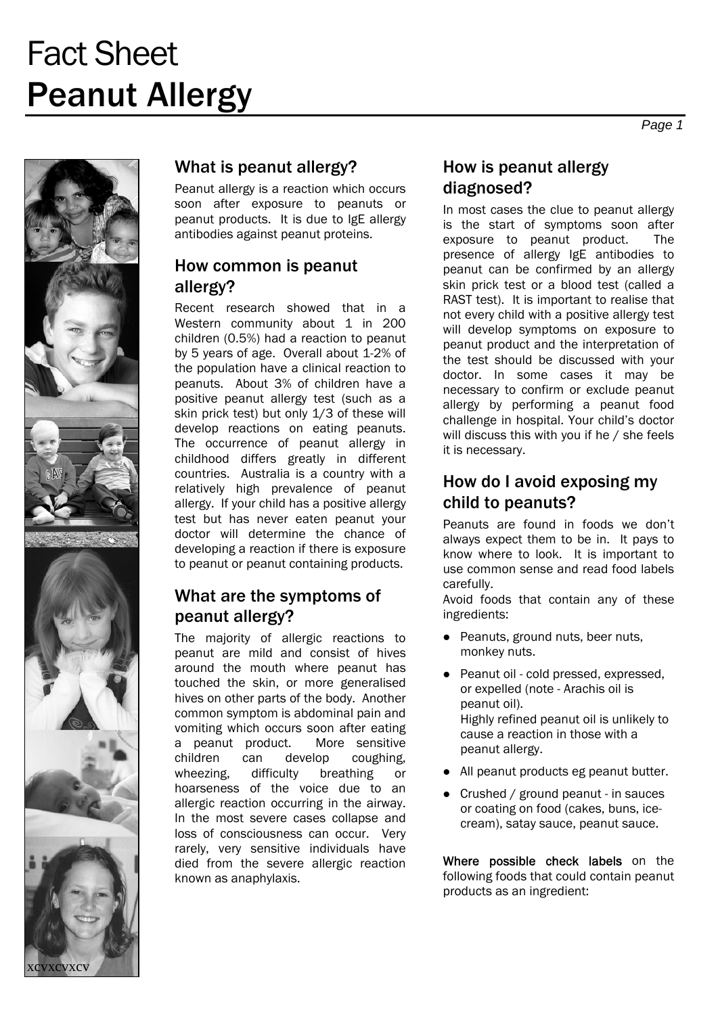# Fact Sheet Peanut Allergy



## What is peanut allergy?

Peanut allergy is a reaction which occurs soon after exposure to peanuts or peanut products. It is due to IgE allergy antibodies against peanut proteins.

### How common is peanut allergy?

Recent research showed that in a Western community about 1 in 200 children (0.5%) had a reaction to peanut by 5 years of age. Overall about 1-2% of the population have a clinical reaction to peanuts. About 3% of children have a positive peanut allergy test (such as a skin prick test) but only 1/3 of these will develop reactions on eating peanuts. The occurrence of peanut allergy in childhood differs greatly in different countries. Australia is a country with a relatively high prevalence of peanut allergy. If your child has a positive allergy test but has never eaten peanut your doctor will determine the chance of developing a reaction if there is exposure to peanut or peanut containing products.

# What are the symptoms of peanut allergy?

The majority of allergic reactions to peanut are mild and consist of hives around the mouth where peanut has touched the skin, or more generalised hives on other parts of the body. Another common symptom is abdominal pain and vomiting which occurs soon after eating a peanut product. More sensitive children can develop coughing, wheezing, difficulty breathing or hoarseness of the voice due to an allergic reaction occurring in the airway. In the most severe cases collapse and loss of consciousness can occur. Very rarely, very sensitive individuals have died from the severe allergic reaction known as anaphylaxis.

## How is peanut allergy diagnosed?

In most cases the clue to peanut allergy is the start of symptoms soon after exposure to peanut product. The presence of allergy IgE antibodies to peanut can be confirmed by an allergy skin prick test or a blood test (called a RAST test). It is important to realise that not every child with a positive allergy test will develop symptoms on exposure to peanut product and the interpretation of the test should be discussed with your doctor. In some cases it may be necessary to confirm or exclude peanut allergy by performing a peanut food challenge in hospital. Your child's doctor will discuss this with you if he / she feels it is necessary.

# How do I avoid exposing my child to peanuts?

Peanuts are found in foods we don't always expect them to be in. It pays to know where to look. It is important to use common sense and read food labels carefully.

Avoid foods that contain any of these ingredients:

- Peanuts, ground nuts, beer nuts, monkey nuts.
- Peanut oil cold pressed, expressed, or expelled (note - Arachis oil is peanut oil). Highly refined peanut oil is unlikely to cause a reaction in those with a peanut allergy.
- All peanut products eg peanut butter.
- Crushed / ground peanut in sauces or coating on food (cakes, buns, icecream), satay sauce, peanut sauce.

Where possible check labels on the following foods that could contain peanut products as an ingredient: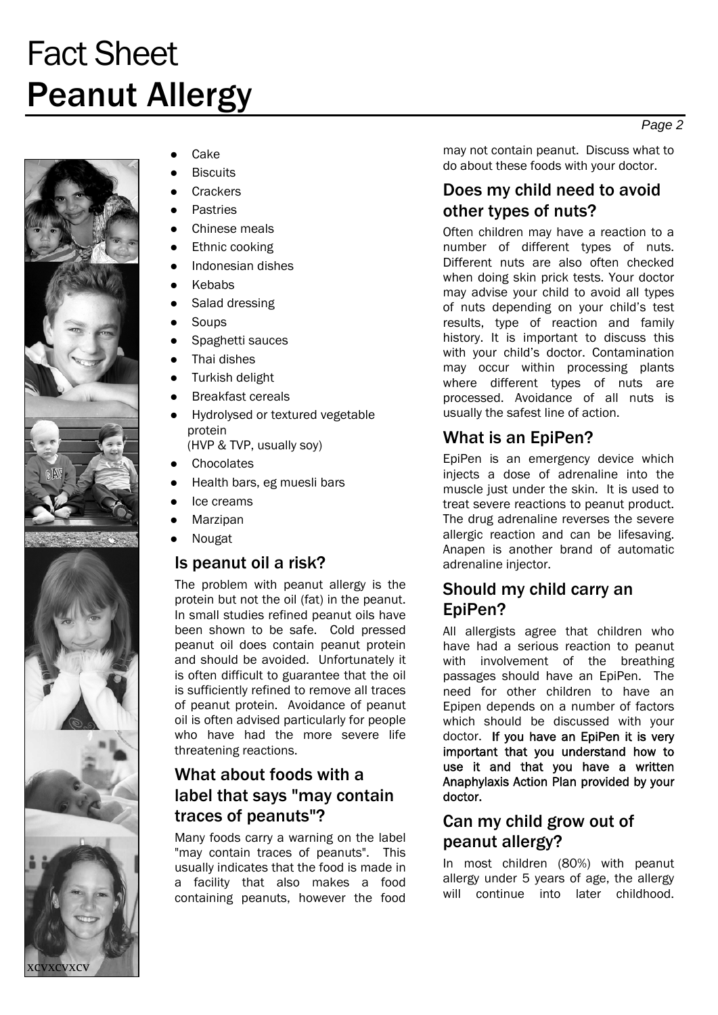# Fact Sheet Peanut Allergy





xcvxcvxcv

Cake

- **Biscuits**
- **Crackers**
- **Pastries**
- Chinese meals
- Ethnic cooking
- Indonesian dishes
- **Kebabs**
- Salad dressing
- Soups
- Spaghetti sauces
- Thai dishes
- **Turkish delight**
- **Breakfast cereals**
- Hydrolysed or textured vegetable protein (HVP & TVP, usually soy)
- **Chocolates**
- Health bars, eg muesli bars
- Ice creams
- Marzipan
- **Nougat**

#### Is peanut oil a risk?

The problem with peanut allergy is the protein but not the oil (fat) in the peanut. In small studies refined peanut oils have been shown to be safe. Cold pressed peanut oil does contain peanut protein and should be avoided. Unfortunately it is often difficult to guarantee that the oil is sufficiently refined to remove all traces of peanut protein. Avoidance of peanut oil is often advised particularly for people who have had the more severe life threatening reactions.

## What about foods with a label that says "may contain traces of peanuts"?

Many foods carry a warning on the label "may contain traces of peanuts". This usually indicates that the food is made in a facility that also makes a food containing peanuts, however the food

may not contain peanut. Discuss what to do about these foods with your doctor.

# Does my child need to avoid other types of nuts?

Often children may have a reaction to a number of different types of nuts. Different nuts are also often checked when doing skin prick tests. Your doctor may advise your child to avoid all types of nuts depending on your child's test results, type of reaction and family history. It is important to discuss this with your child's doctor. Contamination may occur within processing plants where different types of nuts are processed. Avoidance of all nuts is usually the safest line of action.

## What is an EpiPen?

EpiPen is an emergency device which injects a dose of adrenaline into the muscle just under the skin. It is used to treat severe reactions to peanut product. The drug adrenaline reverses the severe allergic reaction and can be lifesaving. Anapen is another brand of automatic adrenaline injector.

#### Should my child carry an EpiPen?

All allergists agree that children who have had a serious reaction to peanut with involvement of the breathing passages should have an EpiPen. The need for other children to have an Epipen depends on a number of factors which should be discussed with your doctor. If you have an EpiPen it is very important that you understand how to use it and that you have a written Anaphylaxis Action Plan provided by your doctor.

# Can my child grow out of peanut allergy?

In most children (80%) with peanut allergy under 5 years of age, the allergy will continue into later childhood.

*Page 2*